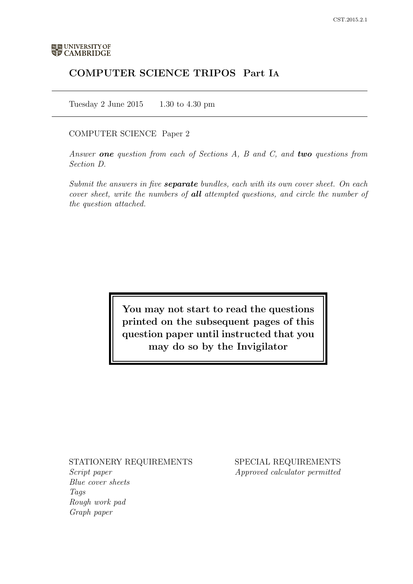# COMPUTER SCIENCE TRIPOS Part IA

Tuesday 2 June  $2015$  1.30 to 4.30 pm

### COMPUTER SCIENCE Paper 2

Answer one question from each of Sections  $A$ ,  $B$  and  $C$ , and two questions from Section D.

Submit the answers in five **separate** bundles, each with its own cover sheet. On each cover sheet, write the numbers of all attempted questions, and circle the number of the question attached.

> You may not start to read the questions printed on the subsequent pages of this question paper until instructed that you may do so by the Invigilator

# STATIONERY REQUIREMENTS

Script paper Blue cover sheets **Tags** Rough work pad Graph paper

SPECIAL REQUIREMENTS Approved calculator permitted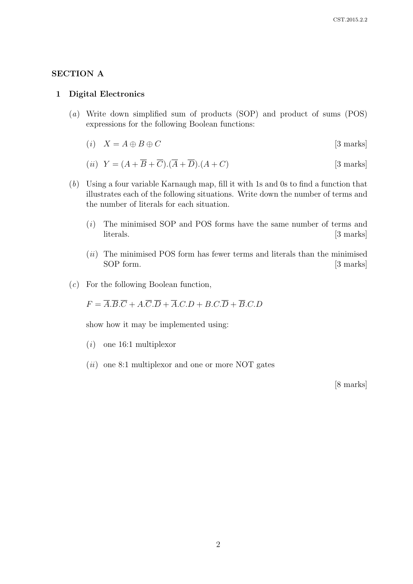### SECTION A

### 1 Digital Electronics

- (a) Write down simplified sum of products (SOP) and product of sums (POS) expressions for the following Boolean functions:
	- (i)  $X = A \oplus B \oplus C$  [3 marks]

$$
(ii) \ \ Y = (A + \overline{B} + \overline{C}).(\overline{A} + \overline{D}).(A + C) \tag{3 marks}
$$

- (b) Using a four variable Karnaugh map, fill it with 1s and 0s to find a function that illustrates each of the following situations. Write down the number of terms and the number of literals for each situation.
	- (i) The minimised SOP and POS forms have the same number of terms and literals. [3 marks]
	- (*ii*) The minimised POS form has fewer terms and literals than the minimised SOP form. [3 marks]
- (c) For the following Boolean function,

 $F = \overline{A} \cdot \overline{B} \cdot \overline{C} + A \cdot \overline{C} \cdot \overline{D} + \overline{A} \cdot C \cdot D + B \cdot C \cdot \overline{D} + \overline{B} \cdot C \cdot D$ 

show how it may be implemented using:

- $(i)$  one 16:1 multiplexor
- $(ii)$  one 8:1 multiplexor and one or more NOT gates

[8 marks]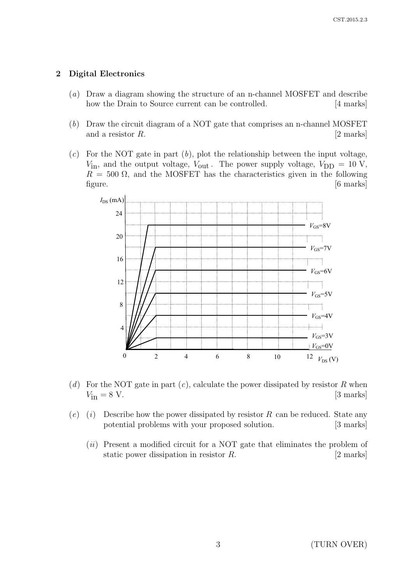## 2 Digital Electronics

- (a) Draw a diagram showing the structure of an n-channel MOSFET and describe how the Drain to Source current can be controlled. [4 marks]
- (b) Draw the circuit diagram of a NOT gate that comprises an n-channel MOSFET and a resistor  $R$ . [2 marks]
- $(c)$  For the NOT gate in part  $(b)$ , plot the relationship between the input voltage,  $V_{\text{in}}$ , and the output voltage,  $V_{\text{out}}$ . The power supply voltage,  $V_{\text{DD}} = 10 \text{ V}$ ,  $R = 500 \Omega$ , and the MOSFET has the characteristics given in the following figure. [6 marks]



- (d) For the NOT gate in part  $(c)$ , calculate the power dissipated by resistor R when  $V_{\text{in}} = 8 \text{ V}.$  [3 marks]
- $(e)$  (i) Describe how the power dissipated by resistor R can be reduced. State any potential problems with your proposed solution. [3 marks]
	- (ii) Present a modified circuit for a NOT gate that eliminates the problem of static power dissipation in resistor R. [2 marks]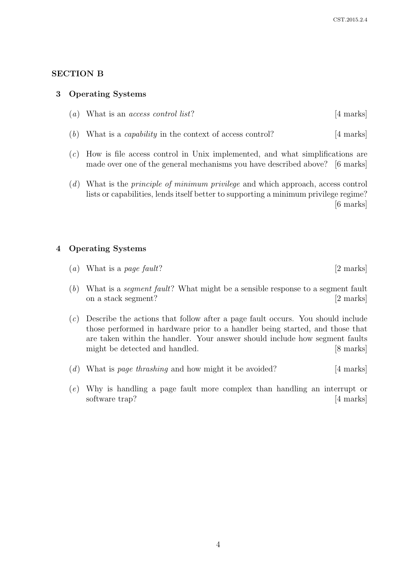### SECTION B

#### 3 Operating Systems

| $(a)$ What is an <i>access control list</i> ?<br>[4 marks] |  |
|------------------------------------------------------------|--|
|------------------------------------------------------------|--|

- (b) What is a *capability* in the context of access control?  $[4 \text{ marks}]$
- (c) How is file access control in Unix implemented, and what simplifications are made over one of the general mechanisms you have described above? [6 marks]
- (d) What is the principle of minimum privilege and which approach, access control lists or capabilities, lends itself better to supporting a minimum privilege regime? [6 marks]

#### 4 Operating Systems

|  |  | (a) What is a page fault? | [2 marks] |
|--|--|---------------------------|-----------|
|--|--|---------------------------|-----------|

(b) What is a segment fault? What might be a sensible response to a segment fault on a stack segment? [2 marks]

(c) Describe the actions that follow after a page fault occurs. You should include those performed in hardware prior to a handler being started, and those that are taken within the handler. Your answer should include how segment faults might be detected and handled. [8 marks]

- (d) What is page thrashing and how might it be avoided?  $[4 \text{ marks}]$
- (e) Why is handling a page fault more complex than handling an interrupt or software trap? [4 marks]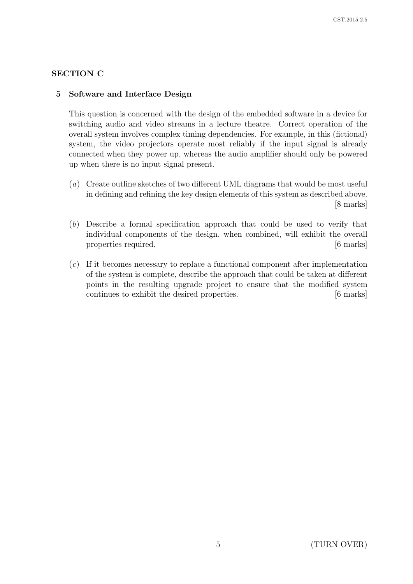# SECTION C

## 5 Software and Interface Design

This question is concerned with the design of the embedded software in a device for switching audio and video streams in a lecture theatre. Correct operation of the overall system involves complex timing dependencies. For example, in this (fictional) system, the video projectors operate most reliably if the input signal is already connected when they power up, whereas the audio amplifier should only be powered up when there is no input signal present.

- (a) Create outline sketches of two different UML diagrams that would be most useful in defining and refining the key design elements of this system as described above. [8 marks]
- (b) Describe a formal specification approach that could be used to verify that individual components of the design, when combined, will exhibit the overall properties required.  $[6 \text{ marks}]$
- (c) If it becomes necessary to replace a functional component after implementation of the system is complete, describe the approach that could be taken at different points in the resulting upgrade project to ensure that the modified system continues to exhibit the desired properties. [6 marks]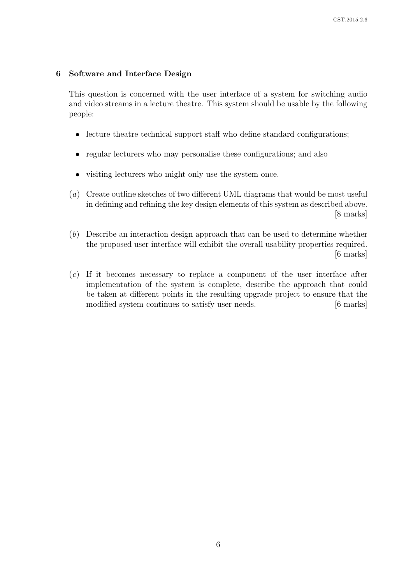## 6 Software and Interface Design

This question is concerned with the user interface of a system for switching audio and video streams in a lecture theatre. This system should be usable by the following people:

- lecture theatre technical support staff who define standard configurations;
- regular lecturers who may personalise these configurations; and also
- visiting lecturers who might only use the system once.
- (a) Create outline sketches of two different UML diagrams that would be most useful in defining and refining the key design elements of this system as described above. [8 marks]
- (b) Describe an interaction design approach that can be used to determine whether the proposed user interface will exhibit the overall usability properties required. [6 marks]
- (c) If it becomes necessary to replace a component of the user interface after implementation of the system is complete, describe the approach that could be taken at different points in the resulting upgrade project to ensure that the modified system continues to satisfy user needs. [6 marks]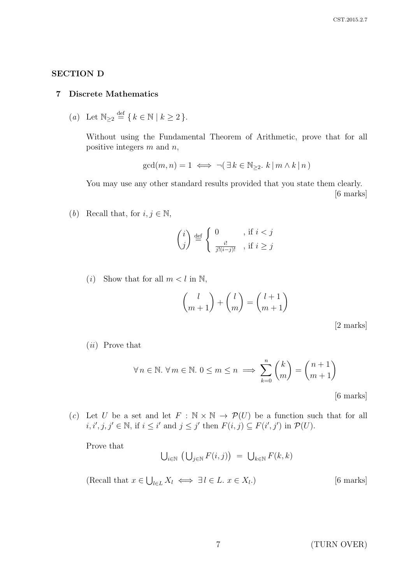## SECTION D

#### 7 Discrete Mathematics

(a) Let  $\mathbb{N}_{\geq 2} \stackrel{\text{def}}{=} \{ k \in \mathbb{N} \mid k \geq 2 \}.$ 

Without using the Fundamental Theorem of Arithmetic, prove that for all positive integers  $m$  and  $n$ ,

$$
\gcd(m, n) = 1 \iff \neg (\exists k \in \mathbb{N}_{\geq 2}. k \, | \, m \wedge k \, | \, n)
$$

You may use any other standard results provided that you state them clearly. [6 marks]

(b) Recall that, for  $i, j \in \mathbb{N}$ ,

$$
\binom{i}{j} \stackrel{\text{def}}{=} \begin{cases} 0 & , \text{ if } i < j \\ \frac{i!}{j!(i-j)!} & , \text{ if } i \ge j \end{cases}
$$

(*i*) Show that for all  $m < l$  in  $\mathbb{N}$ ,

$$
\binom{l}{m+1} + \binom{l}{m} = \binom{l+1}{m+1}
$$

[2 marks]

```
(ii) Prove that
```

$$
\forall n \in \mathbb{N}. \ \forall m \in \mathbb{N}. \ 0 \le m \le n \implies \sum_{k=0}^{n} \binom{k}{m} = \binom{n+1}{m+1}
$$

[6 marks]

(c) Let U be a set and let  $F : \mathbb{N} \times \mathbb{N} \to \mathcal{P}(U)$  be a function such that for all  $i, i', j, j' \in \mathbb{N}$ , if  $i \leq i'$  and  $j \leq j'$  then  $F(i, j) \subseteq F(i', j')$  in  $\mathcal{P}(U)$ .

Prove that

$$
\bigcup_{i\in\mathbb{N}}\left(\bigcup_{j\in\mathbb{N}}F(i,j)\right) = \bigcup_{k\in\mathbb{N}}F(k,k)
$$

(Recall that  $x \in \bigcup_{l \in L} X_l \iff \exists l \in L$ .  $x \in X_l$ [6 marks]

7 (TURN OVER)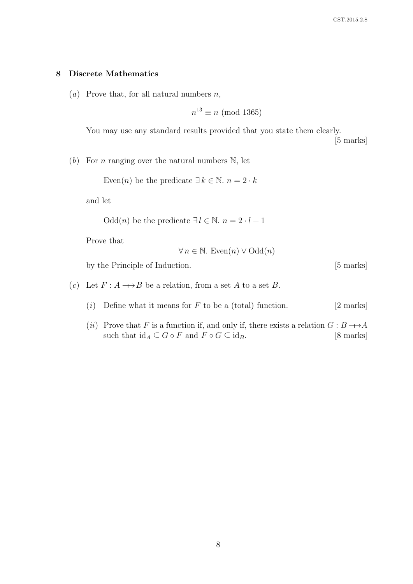### 8 Discrete Mathematics

(*a*) Prove that, for all natural numbers  $n$ ,

$$
n^{13} \equiv n \pmod{1365}
$$

You may use any standard results provided that you state them clearly. [5 marks]

(b) For *n* ranging over the natural numbers  $\mathbb{N}$ , let

Even(n) be the predicate  $\exists k \in \mathbb{N}$ .  $n = 2 \cdot k$ 

and let

Odd(*n*) be the predicate  $\exists l \in \mathbb{N}$ .  $n = 2 \cdot l + 1$ 

Prove that

$$
\forall n \in \mathbb{N}. \text{ Even}(n) \lor \text{Odd}(n)
$$

by the Principle of Induction. [5 marks]

- (c) Let  $F: A \longrightarrow B$  be a relation, from a set A to a set B.
	- (i) Define what it means for  $F$  to be a (total) function. [2 marks]
	- (ii) Prove that F is a function if, and only if, there exists a relation  $G : B \longrightarrow A$ such that  $\mathrm{id}_A \subseteq G \circ F$  and  $F \circ G \subseteq \mathrm{id}_B$ . [8 marks]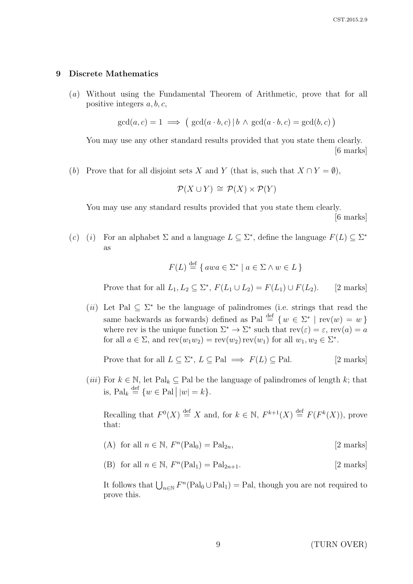#### 9 Discrete Mathematics

(a) Without using the Fundamental Theorem of Arithmetic, prove that for all positive integers  $a, b, c$ ,

$$
\gcd(a, c) = 1 \implies (\gcd(a \cdot b, c) | b \land \gcd(a \cdot b, c) = \gcd(b, c))
$$

You may use any other standard results provided that you state them clearly. [6 marks]

(b) Prove that for all disjoint sets X and Y (that is, such that  $X \cap Y = \emptyset$ ),

$$
\mathcal{P}(X \cup Y) \cong \mathcal{P}(X) \times \mathcal{P}(Y)
$$

You may use any standard results provided that you state them clearly. [6 marks]

(c) (i) For an alphabet  $\Sigma$  and a language  $L \subseteq \Sigma^*$ , define the language  $F(L) \subseteq \Sigma^*$ as

$$
F(L) \stackrel{\text{def}}{=} \{ awa \in \Sigma^* \mid a \in \Sigma \land w \in L \}
$$

Prove that for all  $L_1, L_2 \subseteq \Sigma^*, F(L_1 \cup L_2) = F(L_1) \cup F(L_2).$  [2 marks]

(*ii*) Let Pal  $\subseteq \Sigma^*$  be the language of palindromes (i.e. strings that read the same backwards as forwards) defined as Pal  $\stackrel{\text{def}}{=} \{w \in \Sigma^* \mid \text{rev}(w) = w\}$ where rev is the unique function  $\Sigma^* \to \Sigma^*$  such that  $rev(\varepsilon) = \varepsilon$ ,  $rev(a) = a$ for all  $a \in \Sigma$ , and  $rev(w_1w_2) = rev(w_2) rev(w_1)$  for all  $w_1, w_2 \in \Sigma^*$ .

Prove that for all  $L \subseteq \Sigma^*$ ,  $L \subseteq \text{Pal} \implies F(L) \subseteq \text{Pal}.$  [2 marks]

(*iii*) For  $k \in \mathbb{N}$ , let Pal<sub>k</sub>  $\subseteq$  Pal be the language of palindromes of length k; that is,  $\text{Pal}_k \stackrel{\text{def}}{=} \{w \in \text{Pal}\, \big| \, |w| = k\}.$ 

Recalling that  $F^0(X) \stackrel{\text{def}}{=} X$  and, for  $k \in \mathbb{N}$ ,  $F^{k+1}(X) \stackrel{\text{def}}{=} F(F^k(X))$ , prove that:

- (A) for all  $n \in \mathbb{N}$ ,  $F^{n}(\text{Pal}_0) = \text{Pal}_{2n}$ , [2 marks]
- (B) for all  $n \in \mathbb{N}$ ,  $F^{n}(\text{Pal}_1) = \text{Pal}_{2n+1}$ . [2 marks]

It follows that  $\bigcup_{n\in\mathbb{N}} F^n(\text{Pal}_0\cup \text{Pal}_1) = \text{Pal},$  though you are not required to prove this.